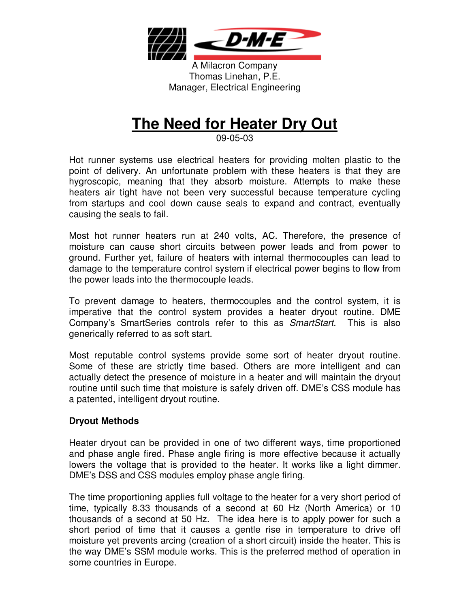

A Milacron Company Thomas Linehan, P.E. Manager, Electrical Engineering

# **The Need for Heater Dry Out**

09-05-03

Hot runner systems use electrical heaters for providing molten plastic to the point of delivery. An unfortunate problem with these heaters is that they are hygroscopic, meaning that they absorb moisture. Attempts to make these heaters air tight have not been very successful because temperature cycling from startups and cool down cause seals to expand and contract, eventually causing the seals to fail.

Most hot runner heaters run at 240 volts, AC. Therefore, the presence of moisture can cause short circuits between power leads and from power to ground. Further yet, failure of heaters with internal thermocouples can lead to damage to the temperature control system if electrical power begins to flow from the power leads into the thermocouple leads.

To prevent damage to heaters, thermocouples and the control system, it is imperative that the control system provides a heater dryout routine. DME Company's SmartSeries controls refer to this as SmartStart. This is also generically referred to as soft start.

Most reputable control systems provide some sort of heater dryout routine. Some of these are strictly time based. Others are more intelligent and can actually detect the presence of moisture in a heater and will maintain the dryout routine until such time that moisture is safely driven off. DME's CSS module has a patented, intelligent dryout routine.

#### **Dryout Methods**

Heater dryout can be provided in one of two different ways, time proportioned and phase angle fired. Phase angle firing is more effective because it actually lowers the voltage that is provided to the heater. It works like a light dimmer. DME's DSS and CSS modules employ phase angle firing.

The time proportioning applies full voltage to the heater for a very short period of time, typically 8.33 thousands of a second at 60 Hz (North America) or 10 thousands of a second at 50 Hz. The idea here is to apply power for such a short period of time that it causes a gentle rise in temperature to drive off moisture yet prevents arcing (creation of a short circuit) inside the heater. This is the way DME's SSM module works. This is the preferred method of operation in some countries in Europe.